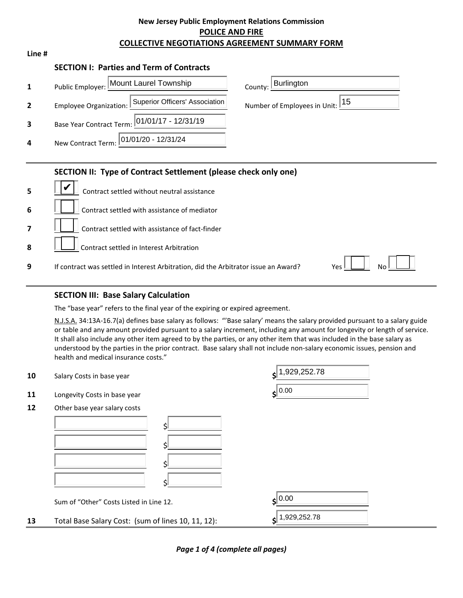## **New Jersey Public Employment Relations Commission POLICE AND FIRE COLLECTIVE NEGOTIATIONS AGREEMENT SUMMARY FORM**

| ۰. |  |
|----|--|
|----|--|

## **SECTION I: Parties and Term of Contracts**

| $\mathbf{1}$   | Public Employer: Mount Laurel Township                                         | Burlington<br>County: L           |
|----------------|--------------------------------------------------------------------------------|-----------------------------------|
| $\overline{2}$ | Employee Organization: Superior Officers' Association                          | Number of Employees in Unit: $15$ |
| 3              | Base Year Contract Term: $\frac{[01/01/17 - 12/31/19]}{[01/01/17 - 12/31/19]}$ |                                   |
| 4              | New Contract Term: 01/01/20 - 12/31/24                                         |                                   |
|                |                                                                                |                                   |

### **SECTION II: Type of Contract Settlement (please check only one)**

| $\overline{5}$   | Contract settled without neutral assistance                                         |                                    |
|------------------|-------------------------------------------------------------------------------------|------------------------------------|
| $6 \overline{6}$ | Contract settled with assistance of mediator                                        |                                    |
| $\overline{z}$   | $\vert$ Contract settled with assistance of fact-finder                             |                                    |
| $\overline{8}$   | $\vert$ Contract settled in Interest Arbitration                                    |                                    |
| 9                | If contract was settled in Interest Arbitration, did the Arbitrator issue an Award? | N <sub>o</sub><br>Yes <sup>1</sup> |

## **SECTION III: Base Salary Calculation**

The "base year" refers to the final year of the expiring or expired agreement.

N.J.S.A. 34:13A-16.7(a) defines base salary as follows: "'Base salary' means the salary provided pursuant to a salary guide or table and any amount provided pursuant to a salary increment, including any amount for longevity or length of service. It shall also include any other item agreed to by the parties, or any other item that was included in the base salary as understood by the parties in the prior contract. Base salary shall not include non-salary economic issues, pension and health and medical insurance costs."

| 10 | Salary Costs in base year                          | 1,929,252.78          |
|----|----------------------------------------------------|-----------------------|
| 11 | Longevity Costs in base year                       | $\mathsf{s}$ 0.00     |
| 12 | Other base year salary costs                       |                       |
|    |                                                    |                       |
|    |                                                    |                       |
|    |                                                    |                       |
|    | Sum of "Other" Costs Listed in Line 12.            | $\left  0.00 \right $ |
| 13 | Total Base Salary Cost: (sum of lines 10, 11, 12): | 1,929,252.78          |

*Page 1 of 4 (complete all pages)*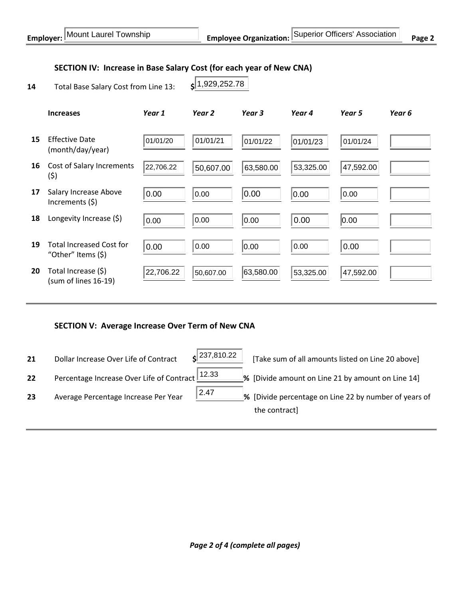# **SECTION IV: Increase in Base Salary Cost (for each year of New CNA)**

**14** Total Base Salary Cost from Line 13: **\$**

| <b>Increases</b>                                         | Year 1    | Year <sub>2</sub> | Year 3    | Year 4    | Year 5    | Year 6 |
|----------------------------------------------------------|-----------|-------------------|-----------|-----------|-----------|--------|
| <b>Effective Date</b><br>(month/day/year)                | 01/01/20  | 01/01/21          | 01/01/22  | 01/01/23  | 01/01/24  |        |
| Cost of Salary Increments<br>(\$)                        | 22,706.22 | 50,607.00         | 63,580.00 | 53,325.00 | 47,592.00 |        |
| Salary Increase Above<br>Increments $(5)$                | 0.00      | 0.00              | 0.00      | 0.00      | 0.00      |        |
| Longevity Increase (\$)                                  | 0.00      | 0.00              | 0.00      | 0.00      | 0.00      |        |
| <b>Total Increased Cost for</b><br>"Other" Items $(\xi)$ | 0.00      | 0.00              | 0.00      | 0.00      | 0.00      |        |
| Total Increase (\$)<br>(sum of lines 16-19)              | 22,706.22 | 50,607.00         | 63,580.00 | 53,325.00 | 47,592.00 |        |
|                                                          |           |                   |           |           |           |        |

237,810.22

2.47

 $|1,929,252.78$ 

## **SECTION V: Average Increase Over Term of New CNA**

- **21** Dollar Increase Over Life of Contract  $\frac{1}{2^{237,810.22}}$  [Take sum of all amounts listed on Line 20 above]
- **22** Percentage Increase Over Life of Contract  $\frac{12.33}{2}$  % [Divide amount on Line 21 by amount on Line 14]
- 
- 
- 23 Average Percentage Increase Per Year  $\frac{2.47}{2.47}$  % [Divide percentage on Line 22 by number of years of the contract]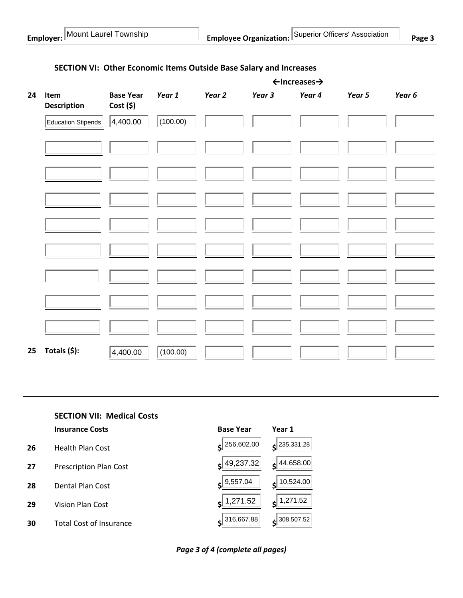| <b>Employer:</b> Mount Laurel Townsh |  |  |  |
|--------------------------------------|--|--|--|
|--------------------------------------|--|--|--|

# **←Increases→ 24 Item Description Base Year Cost (\$)** *Year 1 Year 2 Year 3 Year 4 Year 5 Year 6* **25 Totals (\$):**  Education Stipends  $4,400.00$  (100.00)  $|4,400.00|$  (100.00)

# **SECTION VI: Other Economic Items Outside Base Salary and Increases**

# **SECTION VII: Medical Costs**

- **26** Health Plan Cost **\$ \$**
- **27** Prescription Plan Cost **\$ \$**
- **28** Dental Plan Cost **\$ \$**
- **29** Vision Plan Cost **\$ \$**
- **30** Total Cost of Insurance **\$ \$**

| <b>Insurance Costs</b>         | <b>Base Year</b>       | Year 1                   |
|--------------------------------|------------------------|--------------------------|
| Health Plan Cost               | $s$ 256,602.00         | $s^{235,331.28}$         |
| <b>Prescription Plan Cost</b>  | $s$ 49,237.32          | $s$ <sup>44,658.00</sup> |
| Dental Plan Cost               | $s^{9,557.04}$         | $\frac{\xi}{10,524.00}$  |
| Vision Plan Cost               | $\frac{1}{2}$ 1,271.52 | 1,271.52                 |
| <b>Total Cost of Insurance</b> | 316,667.88             | 308,507.52<br>≮          |

*Page 3 of 4 (complete all pages)*